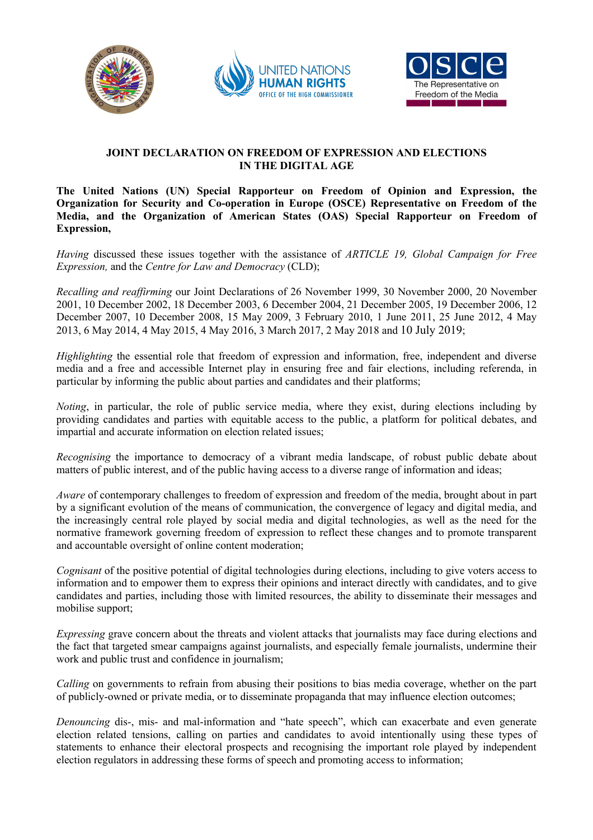





## **JOINT DECLARATION ON FREEDOM OF EXPRESSION AND ELECTIONS IN THE DIGITAL AGE**

**The United Nations (UN) Special Rapporteur on Freedom of Opinion and Expression, the Organization for Security and Co-operation in Europe (OSCE) Representative on Freedom of the Media, and the Organization of American States (OAS) Special Rapporteur on Freedom of Expression,**

*Having* discussed these issues together with the assistance of *ARTICLE 19, Global Campaign for Free Expression,* and the *Centre for Law and Democracy* (CLD);

*Recalling and reaffirming* our Joint Declarations of 26 November 1999, 30 November 2000, 20 November 2001, 10 December 2002, 18 December 2003, 6 December 2004, 21 December 2005, 19 December 2006, 12 December 2007, 10 December 2008, 15 May 2009, 3 February 2010, 1 June 2011, 25 June 2012, 4 May 2013, 6 May 2014, 4 May 2015, 4 May 2016, 3 March 2017, 2 May 2018 and 10 July 2019;

*Highlighting* the essential role that freedom of expression and information, free, independent and diverse media and a free and accessible Internet play in ensuring free and fair elections, including referenda, in particular by informing the public about parties and candidates and their platforms;

*Noting*, in particular, the role of public service media, where they exist, during elections including by providing candidates and parties with equitable access to the public, a platform for political debates, and impartial and accurate information on election related issues;

*Recognising* the importance to democracy of a vibrant media landscape, of robust public debate about matters of public interest, and of the public having access to a diverse range of information and ideas;

*Aware* of contemporary challenges to freedom of expression and freedom of the media, brought about in part by a significant evolution of the means of communication, the convergence of legacy and digital media, and the increasingly central role played by social media and digital technologies, as well as the need for the normative framework governing freedom of expression to reflect these changes and to promote transparent and accountable oversight of online content moderation;

*Cognisant* of the positive potential of digital technologies during elections, including to give voters access to information and to empower them to express their opinions and interact directly with candidates, and to give candidates and parties, including those with limited resources, the ability to disseminate their messages and mobilise support;

*Expressing* grave concern about the threats and violent attacks that journalists may face during elections and the fact that targeted smear campaigns against journalists, and especially female journalists, undermine their work and public trust and confidence in journalism;

*Calling* on governments to refrain from abusing their positions to bias media coverage, whether on the part of publicly-owned or private media, or to disseminate propaganda that may influence election outcomes;

*Denouncing* dis-, mis- and mal-information and "hate speech", which can exacerbate and even generate election related tensions, calling on parties and candidates to avoid intentionally using these types of statements to enhance their electoral prospects and recognising the important role played by independent election regulators in addressing these forms of speech and promoting access to information;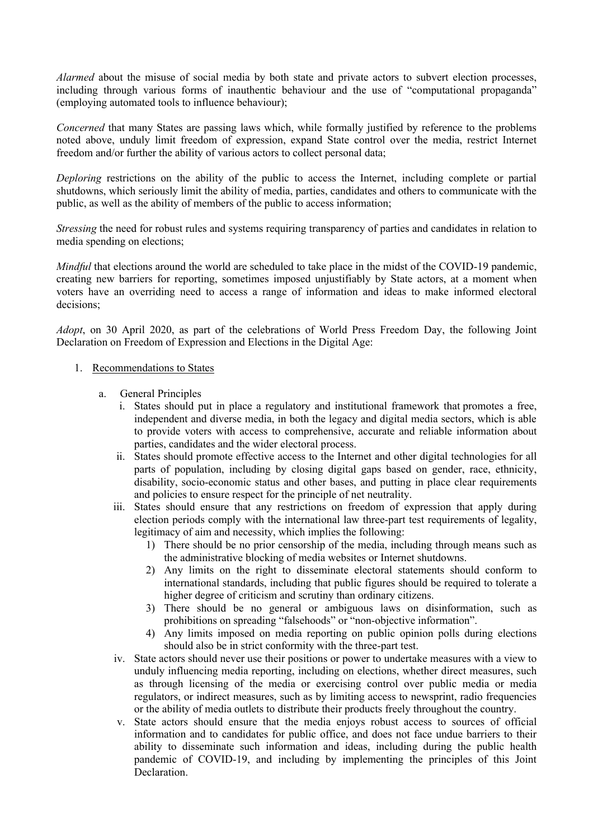*Alarmed* about the misuse of social media by both state and private actors to subvert election processes, including through various forms of inauthentic behaviour and the use of "computational propaganda" (employing automated tools to influence behaviour);

*Concerned* that many States are passing laws which, while formally justified by reference to the problems noted above, unduly limit freedom of expression, expand State control over the media, restrict Internet freedom and/or further the ability of various actors to collect personal data;

*Deploring* restrictions on the ability of the public to access the Internet, including complete or partial shutdowns, which seriously limit the ability of media, parties, candidates and others to communicate with the public, as well as the ability of members of the public to access information;

*Stressing* the need for robust rules and systems requiring transparency of parties and candidates in relation to media spending on elections;

*Mindful* that elections around the world are scheduled to take place in the midst of the COVID-19 pandemic, creating new barriers for reporting, sometimes imposed unjustifiably by State actors, at a moment when voters have an overriding need to access a range of information and ideas to make informed electoral decisions;

*Adopt*, on 30 April 2020, as part of the celebrations of World Press Freedom Day, the following Joint Declaration on Freedom of Expression and Elections in the Digital Age:

## 1. Recommendations to States

- a. General Principles
	- i. States should put in place a regulatory and institutional framework that promotes a free, independent and diverse media, in both the legacy and digital media sectors, which is able to provide voters with access to comprehensive, accurate and reliable information about parties, candidates and the wider electoral process.
	- ii. States should promote effective access to the Internet and other digital technologies for all parts of population, including by closing digital gaps based on gender, race, ethnicity, disability, socio-economic status and other bases, and putting in place clear requirements and policies to ensure respect for the principle of net neutrality.
	- iii. States should ensure that any restrictions on freedom of expression that apply during election periods comply with the international law three-part test requirements of legality, legitimacy of aim and necessity, which implies the following:
		- 1) There should be no prior censorship of the media, including through means such as the administrative blocking of media websites or Internet shutdowns.
		- 2) Any limits on the right to disseminate electoral statements should conform to international standards, including that public figures should be required to tolerate a higher degree of criticism and scrutiny than ordinary citizens.
		- 3) There should be no general or ambiguous laws on disinformation, such as prohibitions on spreading "falsehoods" or "non-objective information".
		- 4) Any limits imposed on media reporting on public opinion polls during elections should also be in strict conformity with the three-part test.
	- iv. State actors should never use their positions or power to undertake measures with a view to unduly influencing media reporting, including on elections, whether direct measures, such as through licensing of the media or exercising control over public media or media regulators, or indirect measures, such as by limiting access to newsprint, radio frequencies or the ability of media outlets to distribute their products freely throughout the country.
	- v. State actors should ensure that the media enjoys robust access to sources of official information and to candidates for public office, and does not face undue barriers to their ability to disseminate such information and ideas, including during the public health pandemic of COVID-19, and including by implementing the principles of this Joint Declaration.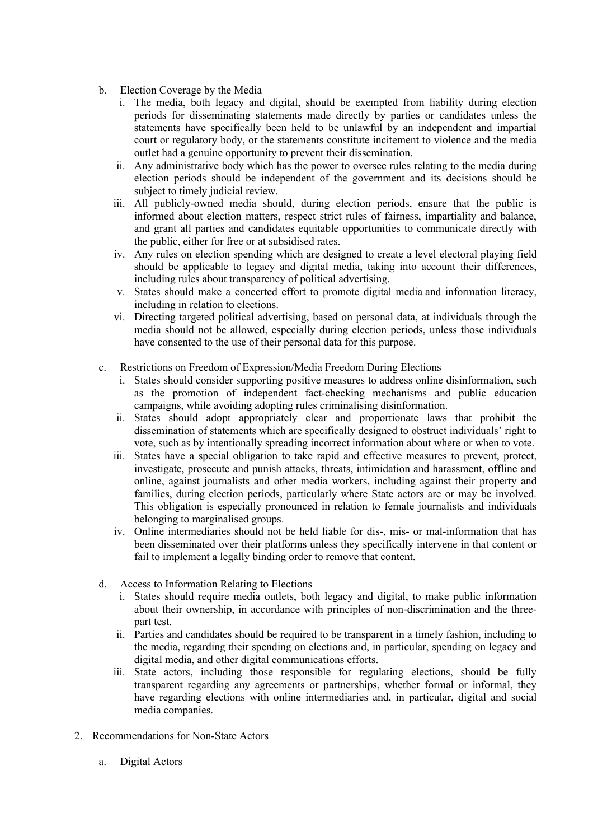- b. Election Coverage by the Media
	- i. The media, both legacy and digital, should be exempted from liability during election periods for disseminating statements made directly by parties or candidates unless the statements have specifically been held to be unlawful by an independent and impartial court or regulatory body, or the statements constitute incitement to violence and the media outlet had a genuine opportunity to prevent their dissemination.
	- ii. Any administrative body which has the power to oversee rules relating to the media during election periods should be independent of the government and its decisions should be subject to timely judicial review.
	- iii. All publicly-owned media should, during election periods, ensure that the public is informed about election matters, respect strict rules of fairness, impartiality and balance, and grant all parties and candidates equitable opportunities to communicate directly with the public, either for free or at subsidised rates.
	- iv. Any rules on election spending which are designed to create a level electoral playing field should be applicable to legacy and digital media, taking into account their differences, including rules about transparency of political advertising.
	- v. States should make a concerted effort to promote digital media and information literacy, including in relation to elections.
	- vi. Directing targeted political advertising, based on personal data, at individuals through the media should not be allowed, especially during election periods, unless those individuals have consented to the use of their personal data for this purpose.
- c. Restrictions on Freedom of Expression/Media Freedom During Elections
	- i. States should consider supporting positive measures to address online disinformation, such as the promotion of independent fact-checking mechanisms and public education campaigns, while avoiding adopting rules criminalising disinformation.
	- ii. States should adopt appropriately clear and proportionate laws that prohibit the dissemination of statements which are specifically designed to obstruct individuals' right to vote, such as by intentionally spreading incorrect information about where or when to vote.
	- iii. States have a special obligation to take rapid and effective measures to prevent, protect, investigate, prosecute and punish attacks, threats, intimidation and harassment, offline and online, against journalists and other media workers, including against their property and families, during election periods, particularly where State actors are or may be involved. This obligation is especially pronounced in relation to female journalists and individuals belonging to marginalised groups.
	- iv. Online intermediaries should not be held liable for dis-, mis- or mal-information that has been disseminated over their platforms unless they specifically intervene in that content or fail to implement a legally binding order to remove that content.
- d. Access to Information Relating to Elections
	- i. States should require media outlets, both legacy and digital, to make public information about their ownership, in accordance with principles of non-discrimination and the threepart test.
	- ii. Parties and candidates should be required to be transparent in a timely fashion, including to the media, regarding their spending on elections and, in particular, spending on legacy and digital media, and other digital communications efforts.
	- iii. State actors, including those responsible for regulating elections, should be fully transparent regarding any agreements or partnerships, whether formal or informal, they have regarding elections with online intermediaries and, in particular, digital and social media companies.
- 2. Recommendations for Non-State Actors
	- a. Digital Actors